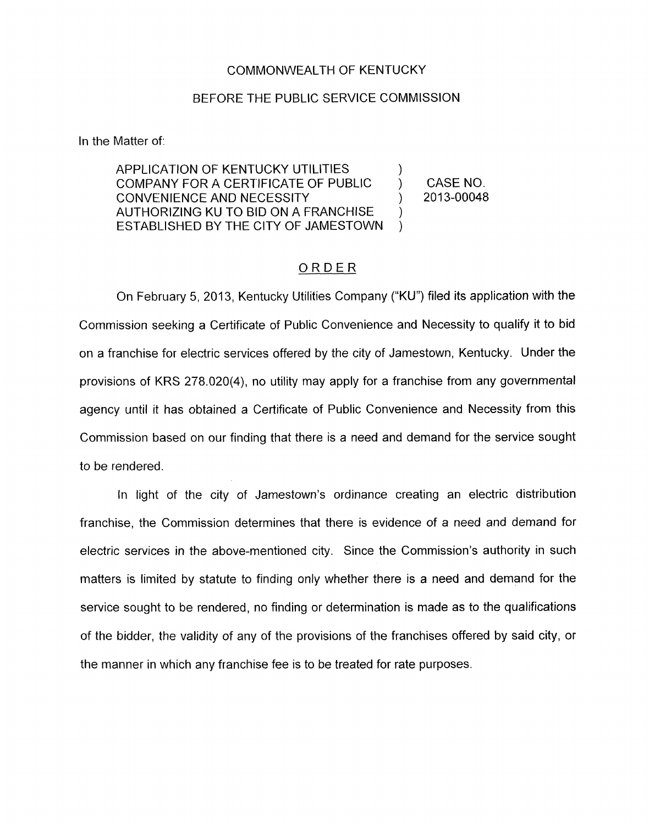## COMMONWEALTH OF KENTUCKY

## BEFORE THE PUBLIC SERVICE COMMISSION

In the Matter of:

APPLICATION OF KENTUCKY UTILITIES COMPANY FOR A CERTIFICATE OF PUBLIC  $\qquad$  ) CASE NO.<br>CONVENIENCE AND NECESSITY (2013-00048 CONVENIENCE AND NECESSITY (2013) AUTHORIZING KU TO BID ON A FRANCHISE ESTABLISHED BY THE CITY OF JAMESTOWN  $\sum_{i=1}^n$ ) )

## ORDER

On February 5, 2013, Kentucky Utilities Company ("KU") filed its application with the Commission seeking a Certificate of Public Convenience and Necessity to qualify it to bid on a franchise for electric services offered by the city of Jamestown, Kentucky. Under the provisions of KRS 278.020(4), no utility may apply for a franchise from any governmental agency until it has obtained a Certificate of Public Convenience and Necessity from this Commission based on our finding that there is a need and demand for the service sought to be rendered.

In light of the city of Jamestown's ordinance creating an electric distribution franchise, the Commission determines that there is evidence of a need and demand for electric services in the above-mentioned city. Since the Commission's authority in such matters is limited by statute to finding only whether there is a need and demand for the service sought to be rendered, no finding or determination is made as to the qualifications of the bidder, the validity of any of the provisions of the franchises offered by said city, or the manner in which any franchise fee is to be treated for rate purposes.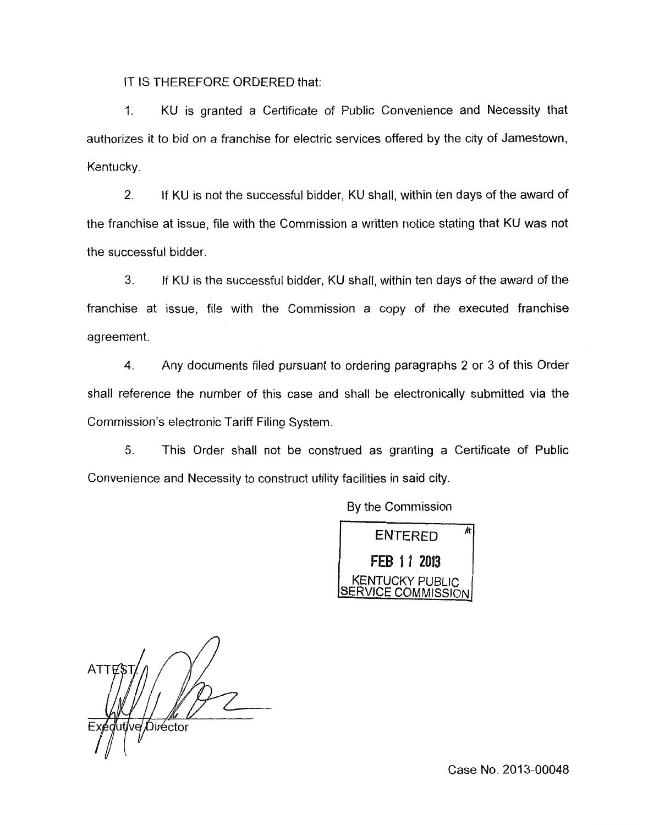IT IS THEREFORE ORDERED that:

1. KU is granted a Certificate of Public Convenience and Necessity that authorizes it to bid on a franchise for electric services offered by the city of Jamestown, Kentucky.

2. If KU is not the successful bidder, KU shall, within ten days of the award of the franchise at issue, file with the Commission a written notice stating that KU was not the successful bidder.

**3.** If KU is the successful bidder, KU shall, within ten days of the award of the franchise at issue, file with the Commission a copy of the executed franchise agreement.

**4.** Any documents filed pursuant to ordering paragraphs 2 or 3 of this Order shall reference the number of this case and shall be electronically submitted via the Commission's electronic Tariff Filing System.

5. 'This Order shall not be construed as granting a Certificate of Public Convenience and Necessity to construct utility facilities in said city.

By the Commission



ATTFS dutive Director

Case No. 2013-00048